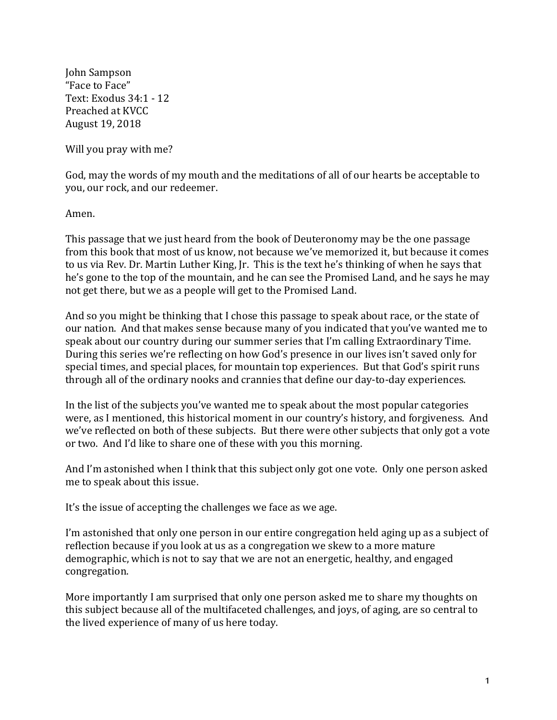John Sampson "Face to Face" Text: Exodus 34:1 - 12 Preached at KVCC August 19, 2018

Will you pray with me?

God, may the words of my mouth and the meditations of all of our hearts be acceptable to you, our rock, and our redeemer.

Amen.

This passage that we just heard from the book of Deuteronomy may be the one passage from this book that most of us know, not because we've memorized it, but because it comes to us via Rev. Dr. Martin Luther King, Jr. This is the text he's thinking of when he says that he's gone to the top of the mountain, and he can see the Promised Land, and he says he may not get there, but we as a people will get to the Promised Land.

And so you might be thinking that I chose this passage to speak about race, or the state of our nation. And that makes sense because many of you indicated that you've wanted me to speak about our country during our summer series that I'm calling Extraordinary Time. During this series we're reflecting on how God's presence in our lives isn't saved only for special times, and special places, for mountain top experiences. But that God's spirit runs through all of the ordinary nooks and crannies that define our day-to-day experiences.

In the list of the subjects you've wanted me to speak about the most popular categories were, as I mentioned, this historical moment in our country's history, and forgiveness. And we've reflected on both of these subjects. But there were other subjects that only got a vote or two. And I'd like to share one of these with you this morning.

And I'm astonished when I think that this subject only got one vote. Only one person asked me to speak about this issue.

It's the issue of accepting the challenges we face as we age.

I'm astonished that only one person in our entire congregation held aging up as a subject of reflection because if you look at us as a congregation we skew to a more mature demographic, which is not to say that we are not an energetic, healthy, and engaged congregation.

More importantly I am surprised that only one person asked me to share my thoughts on this subject because all of the multifaceted challenges, and joys, of aging, are so central to the lived experience of many of us here today.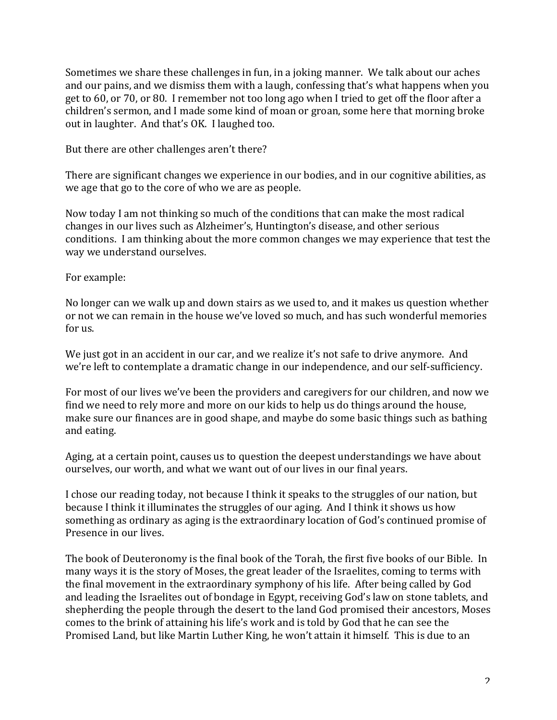Sometimes we share these challenges in fun, in a joking manner. We talk about our aches and our pains, and we dismiss them with a laugh, confessing that's what happens when you get to 60, or 70, or 80. I remember not too long ago when I tried to get off the floor after a children's sermon, and I made some kind of moan or groan, some here that morning broke out in laughter. And that's OK. I laughed too.

But there are other challenges aren't there?

There are significant changes we experience in our bodies, and in our cognitive abilities, as we age that go to the core of who we are as people.

Now today I am not thinking so much of the conditions that can make the most radical changes in our lives such as Alzheimer's, Huntington's disease, and other serious conditions. I am thinking about the more common changes we may experience that test the way we understand ourselves.

For example:

No longer can we walk up and down stairs as we used to, and it makes us question whether or not we can remain in the house we've loved so much, and has such wonderful memories for us.

We just got in an accident in our car, and we realize it's not safe to drive anymore. And we're left to contemplate a dramatic change in our independence, and our self-sufficiency.

For most of our lives we've been the providers and caregivers for our children, and now we find we need to rely more and more on our kids to help us do things around the house, make sure our finances are in good shape, and maybe do some basic things such as bathing and eating.

Aging, at a certain point, causes us to question the deepest understandings we have about ourselves, our worth, and what we want out of our lives in our final years.

I chose our reading today, not because I think it speaks to the struggles of our nation, but because I think it illuminates the struggles of our aging. And I think it shows us how something as ordinary as aging is the extraordinary location of God's continued promise of Presence in our lives.

The book of Deuteronomy is the final book of the Torah, the first five books of our Bible. In many ways it is the story of Moses, the great leader of the Israelites, coming to terms with the final movement in the extraordinary symphony of his life. After being called by God and leading the Israelites out of bondage in Egypt, receiving God's law on stone tablets, and shepherding the people through the desert to the land God promised their ancestors, Moses comes to the brink of attaining his life's work and is told by God that he can see the Promised Land, but like Martin Luther King, he won't attain it himself. This is due to an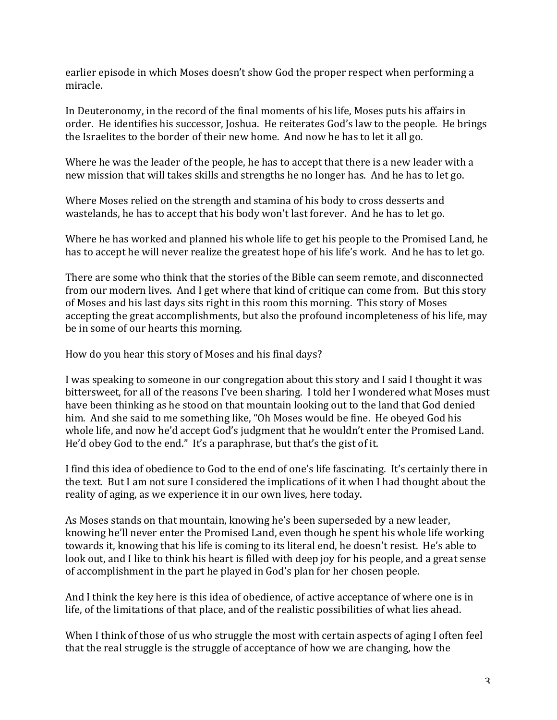earlier episode in which Moses doesn't show God the proper respect when performing a miracle.

In Deuteronomy, in the record of the final moments of his life, Moses puts his affairs in order. He identifies his successor, Joshua. He reiterates God's law to the people. He brings the Israelites to the border of their new home. And now he has to let it all go.

Where he was the leader of the people, he has to accept that there is a new leader with a new mission that will takes skills and strengths he no longer has. And he has to let go.

Where Moses relied on the strength and stamina of his body to cross desserts and wastelands, he has to accept that his body won't last forever. And he has to let go.

Where he has worked and planned his whole life to get his people to the Promised Land, he has to accept he will never realize the greatest hope of his life's work. And he has to let go.

There are some who think that the stories of the Bible can seem remote, and disconnected from our modern lives. And I get where that kind of critique can come from. But this story of Moses and his last days sits right in this room this morning. This story of Moses accepting the great accomplishments, but also the profound incompleteness of his life, may be in some of our hearts this morning.

How do you hear this story of Moses and his final days?

I was speaking to someone in our congregation about this story and I said I thought it was bittersweet, for all of the reasons I've been sharing. I told her I wondered what Moses must have been thinking as he stood on that mountain looking out to the land that God denied him. And she said to me something like, "Oh Moses would be fine. He obeyed God his whole life, and now he'd accept God's judgment that he wouldn't enter the Promised Land. He'd obey God to the end." It's a paraphrase, but that's the gist of it.

I find this idea of obedience to God to the end of one's life fascinating. It's certainly there in the text. But I am not sure I considered the implications of it when I had thought about the reality of aging, as we experience it in our own lives, here today.

As Moses stands on that mountain, knowing he's been superseded by a new leader, knowing he'll never enter the Promised Land, even though he spent his whole life working towards it, knowing that his life is coming to its literal end, he doesn't resist. He's able to look out, and I like to think his heart is filled with deep joy for his people, and a great sense of accomplishment in the part he played in God's plan for her chosen people.

And I think the key here is this idea of obedience, of active acceptance of where one is in life, of the limitations of that place, and of the realistic possibilities of what lies ahead.

When I think of those of us who struggle the most with certain aspects of aging I often feel that the real struggle is the struggle of acceptance of how we are changing, how the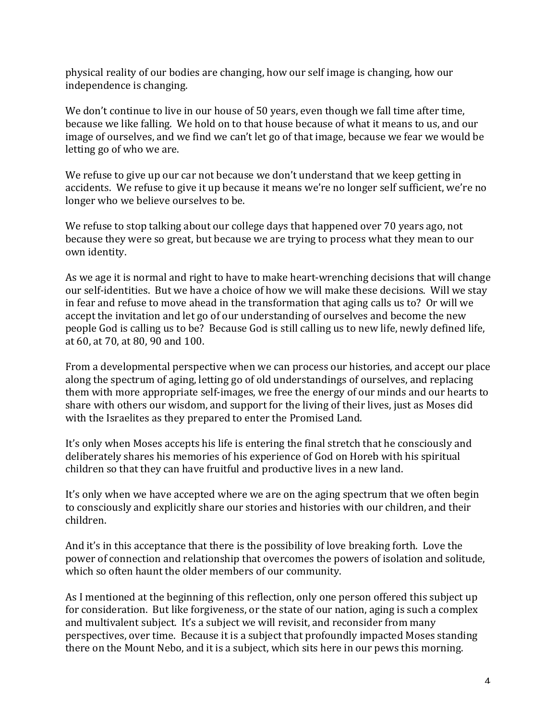physical reality of our bodies are changing, how our self image is changing, how our independence is changing.

We don't continue to live in our house of 50 years, even though we fall time after time, because we like falling. We hold on to that house because of what it means to us, and our image of ourselves, and we find we can't let go of that image, because we fear we would be letting go of who we are.

We refuse to give up our car not because we don't understand that we keep getting in accidents. We refuse to give it up because it means we're no longer self sufficient, we're no longer who we believe ourselves to be.

We refuse to stop talking about our college days that happened over 70 years ago, not because they were so great, but because we are trying to process what they mean to our own identity.

As we age it is normal and right to have to make heart-wrenching decisions that will change our self-identities. But we have a choice of how we will make these decisions. Will we stay in fear and refuse to move ahead in the transformation that aging calls us to? Or will we accept the invitation and let go of our understanding of ourselves and become the new people God is calling us to be? Because God is still calling us to new life, newly defined life, at 60, at 70, at 80, 90 and 100.

From a developmental perspective when we can process our histories, and accept our place along the spectrum of aging, letting go of old understandings of ourselves, and replacing them with more appropriate self-images, we free the energy of our minds and our hearts to share with others our wisdom, and support for the living of their lives, just as Moses did with the Israelites as they prepared to enter the Promised Land.

It's only when Moses accepts his life is entering the final stretch that he consciously and deliberately shares his memories of his experience of God on Horeb with his spiritual children so that they can have fruitful and productive lives in a new land.

It's only when we have accepted where we are on the aging spectrum that we often begin to consciously and explicitly share our stories and histories with our children, and their children.

And it's in this acceptance that there is the possibility of love breaking forth. Love the power of connection and relationship that overcomes the powers of isolation and solitude, which so often haunt the older members of our community.

As I mentioned at the beginning of this reflection, only one person offered this subject up for consideration. But like forgiveness, or the state of our nation, aging is such a complex and multivalent subject. It's a subject we will revisit, and reconsider from many perspectives, over time. Because it is a subject that profoundly impacted Moses standing there on the Mount Nebo, and it is a subject, which sits here in our pews this morning.